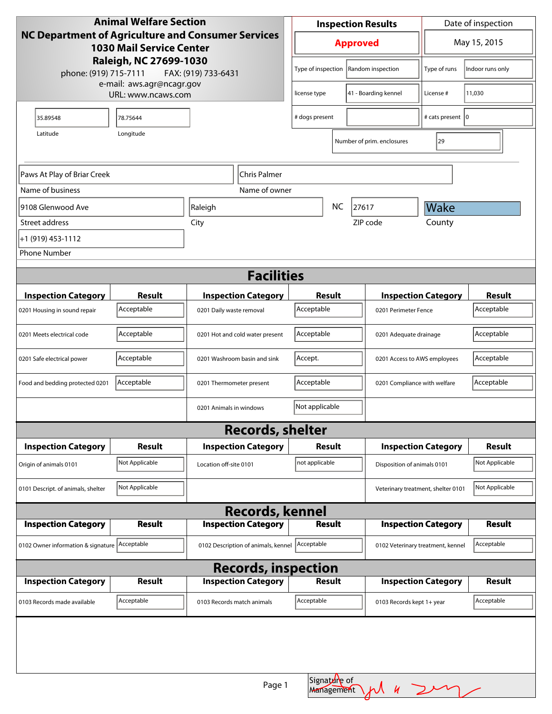| <b>Animal Welfare Section</b>                                                                       |                |                            |                                     | <b>Inspection Results</b>               |                                        |                                    | Date of inspection         |                |
|-----------------------------------------------------------------------------------------------------|----------------|----------------------------|-------------------------------------|-----------------------------------------|----------------------------------------|------------------------------------|----------------------------|----------------|
| <b>NC Department of Agriculture and Consumer Services</b><br><b>1030 Mail Service Center</b>        |                |                            | <b>Approved</b>                     |                                         |                                        | May 15, 2015                       |                            |                |
| Raleigh, NC 27699-1030<br>phone: (919) 715-7111<br>FAX: (919) 733-6431<br>e-mail: aws.agr@ncagr.gov |                |                            |                                     |                                         | Type of inspection   Random inspection | Type of runs                       | Indoor runs only           |                |
| URL: www.ncaws.com                                                                                  |                | license type               |                                     | 41 - Boarding kennel                    | License #                              | 11,030                             |                            |                |
| 35.89548                                                                                            | 78.75644       |                            |                                     | # dogs present                          |                                        |                                    | # cats present   0         |                |
| Longitude<br>Latitude                                                                               |                |                            |                                     |                                         | Number of prim. enclosures             | 29                                 |                            |                |
|                                                                                                     |                |                            |                                     |                                         |                                        |                                    |                            |                |
| Paws At Play of Briar Creek                                                                         |                |                            | Chris Palmer                        |                                         |                                        |                                    |                            |                |
| Name of business                                                                                    |                |                            | Name of owner                       |                                         |                                        |                                    |                            |                |
| 9108 Glenwood Ave                                                                                   |                | Raleigh                    |                                     | <b>NC</b><br>27617                      |                                        |                                    | Wake                       |                |
| Street address                                                                                      |                | City                       |                                     |                                         |                                        | ZIP code                           | County                     |                |
| +1 (919) 453-1112                                                                                   |                |                            |                                     |                                         |                                        |                                    |                            |                |
| <b>Phone Number</b>                                                                                 |                |                            |                                     |                                         |                                        |                                    |                            |                |
| <b>Facilities</b>                                                                                   |                |                            |                                     |                                         |                                        |                                    |                            |                |
| <b>Inspection Category</b>                                                                          | <b>Result</b>  |                            | <b>Inspection Category</b>          | Result                                  |                                        |                                    | <b>Inspection Category</b> | <b>Result</b>  |
| 0201 Housing in sound repair                                                                        | Acceptable     | 0201 Daily waste removal   |                                     | Acceptable                              |                                        | 0201 Perimeter Fence               |                            | Acceptable     |
| 0201 Meets electrical code                                                                          | Acceptable     |                            | 0201 Hot and cold water present     | Acceptable                              |                                        | 0201 Adequate drainage             |                            | Acceptable     |
| 0201 Safe electrical power                                                                          | Acceptable     |                            | 0201 Washroom basin and sink        | Accept.<br>0201 Access to AWS employees |                                        |                                    | Acceptable                 |                |
| Food and bedding protected 0201                                                                     | Acceptable     | 0201 Thermometer present   |                                     | Acceptable                              |                                        | 0201 Compliance with welfare       |                            | Acceptable     |
|                                                                                                     |                | 0201 Animals in windows    |                                     | Not applicable                          |                                        |                                    |                            |                |
|                                                                                                     |                |                            | <b>Records, shelter</b>             |                                         |                                        |                                    |                            |                |
| <b>Inspection Category</b>                                                                          | <b>Result</b>  |                            | <b>Inspection Category</b>          | Result                                  |                                        | <b>Inspection Category</b>         |                            | <b>Result</b>  |
| Origin of animals 0101                                                                              | Not Applicable | Location off-site 0101     |                                     | not applicable                          |                                        | Disposition of animals 0101        |                            | Not Applicable |
| 0101 Descript. of animals, shelter                                                                  | Not Applicable |                            |                                     |                                         |                                        | Veterinary treatment, shelter 0101 |                            | Not Applicable |
|                                                                                                     |                |                            | <b>Records, kennel</b>              |                                         |                                        |                                    |                            |                |
| <b>Inspection Category</b>                                                                          | <b>Result</b>  |                            | <b>Inspection Category</b>          | <b>Result</b>                           |                                        |                                    | <b>Inspection Category</b> | <b>Result</b>  |
| 0102 Owner information & signature Acceptable                                                       |                |                            | 0102 Description of animals, kennel | Acceptable                              |                                        | 0102 Veterinary treatment, kennel  |                            | Acceptable     |
| <b>Records, inspection</b>                                                                          |                |                            |                                     |                                         |                                        |                                    |                            |                |
| <b>Inspection Category</b>                                                                          | Result         |                            | <b>Inspection Category</b>          | Result                                  |                                        |                                    | <b>Inspection Category</b> | <b>Result</b>  |
| 0103 Records made available                                                                         | Acceptable     | 0103 Records match animals |                                     | Acceptable                              |                                        | 0103 Records kept 1+ year          |                            | Acceptable     |
|                                                                                                     |                |                            |                                     |                                         |                                        |                                    |                            |                |
|                                                                                                     |                |                            |                                     |                                         |                                        |                                    |                            |                |
|                                                                                                     |                |                            | Page 1                              |                                         | Signatdre of<br>Management             |                                    | 4247                       |                |
|                                                                                                     |                |                            |                                     |                                         |                                        |                                    |                            |                |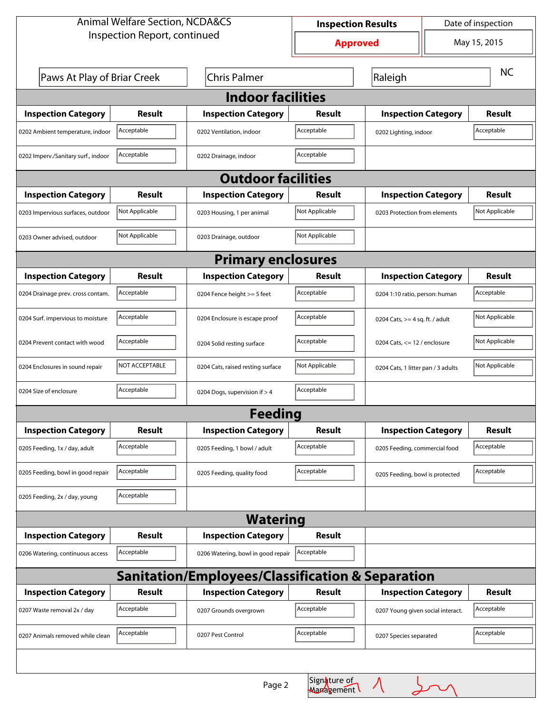| <b>Animal Welfare Section, NCDA&amp;CS</b>       |                                                    |                                    | Date of inspection<br><b>Inspection Results</b> |                                   |                                    |               |  |  |
|--------------------------------------------------|----------------------------------------------------|------------------------------------|-------------------------------------------------|-----------------------------------|------------------------------------|---------------|--|--|
| Inspection Report, continued                     |                                                    |                                    | <b>Approved</b>                                 |                                   | May 15, 2015                       |               |  |  |
|                                                  | Paws At Play of Briar Creek<br><b>Chris Palmer</b> |                                    |                                                 | Raleigh                           |                                    | <b>NC</b>     |  |  |
| <b>Indoor facilities</b>                         |                                                    |                                    |                                                 |                                   |                                    |               |  |  |
| <b>Inspection Category</b>                       | Result                                             | <b>Inspection Category</b>         | <b>Result</b>                                   | <b>Inspection Category</b>        |                                    | <b>Result</b> |  |  |
| 0202 Ambient temperature, indoor                 | Acceptable                                         | 0202 Ventilation, indoor           | Acceptable                                      | 0202 Lighting, indoor             |                                    | Acceptable    |  |  |
| 0202 Imperv./Sanitary surf., indoor              | Acceptable                                         | 0202 Drainage, indoor              | Acceptable                                      |                                   |                                    |               |  |  |
| <b>Outdoor facilities</b>                        |                                                    |                                    |                                                 |                                   |                                    |               |  |  |
| <b>Inspection Category</b>                       | Result                                             | <b>Inspection Category</b>         | <b>Result</b>                                   |                                   | <b>Inspection Category</b>         |               |  |  |
| 0203 Impervious surfaces, outdoor                | Not Applicable                                     | 0203 Housing, 1 per animal         | Not Applicable                                  |                                   | 0203 Protection from elements      |               |  |  |
| 0203 Owner advised, outdoor                      | Not Applicable                                     | 0203 Drainage, outdoor             | Not Applicable                                  |                                   |                                    |               |  |  |
| <b>Primary enclosures</b>                        |                                                    |                                    |                                                 |                                   |                                    |               |  |  |
| <b>Inspection Category</b>                       | Result                                             | <b>Inspection Category</b>         | <b>Result</b>                                   |                                   | <b>Inspection Category</b>         |               |  |  |
| 0204 Drainage prev. cross contam.                | Acceptable                                         | 0204 Fence height >= 5 feet        | Acceptable                                      |                                   | 0204 1:10 ratio, person: human     |               |  |  |
| 0204 Surf. impervious to moisture                | Acceptable                                         | 0204 Enclosure is escape proof     | Acceptable                                      |                                   | 0204 Cats, $>=$ 4 sq. ft. / adult  |               |  |  |
| 0204 Prevent contact with wood                   | Acceptable                                         | 0204 Solid resting surface         | Acceptable                                      |                                   | 0204 Cats, $<= 12$ / enclosure     |               |  |  |
| 0204 Enclosures in sound repair                  | NOT ACCEPTABLE                                     | 0204 Cats, raised resting surface  | Not Applicable                                  |                                   | 0204 Cats, 1 litter pan / 3 adults |               |  |  |
| 0204 Size of enclosure                           | Acceptable                                         | 0204 Dogs, supervision if > 4      | Acceptable                                      |                                   |                                    |               |  |  |
| <b>Feeding</b>                                   |                                                    |                                    |                                                 |                                   |                                    |               |  |  |
| <b>Inspection Category</b>                       | Result                                             | <b>Inspection Category</b>         | Result                                          | <b>Inspection Category</b>        |                                    | <b>Result</b> |  |  |
| 0205 Feeding, 1x / day, adult                    | Acceptable                                         | 0205 Feeding, 1 bowl / adult       | Acceptable                                      | 0205 Feeding, commercial food     |                                    | Acceptable    |  |  |
| 0205 Feeding, bowl in good repair                | Acceptable                                         | 0205 Feeding, quality food         | Acceptable                                      | 0205 Feeding, bowl is protected   |                                    | Acceptable    |  |  |
| 0205 Feeding, 2x / day, young                    | Acceptable                                         |                                    |                                                 |                                   |                                    |               |  |  |
| <b>Watering</b>                                  |                                                    |                                    |                                                 |                                   |                                    |               |  |  |
| <b>Inspection Category</b>                       | Result                                             | <b>Inspection Category</b>         | Result                                          |                                   |                                    |               |  |  |
| 0206 Watering, continuous access                 | Acceptable                                         | 0206 Watering, bowl in good repair | Acceptable                                      |                                   |                                    |               |  |  |
| Sanitation/Employees/Classification & Separation |                                                    |                                    |                                                 |                                   |                                    |               |  |  |
| <b>Inspection Category</b>                       | <b>Result</b>                                      | <b>Inspection Category</b>         | Result                                          | <b>Inspection Category</b>        |                                    | Result        |  |  |
| 0207 Waste removal 2x / day                      | Acceptable                                         | 0207 Grounds overgrown             | Acceptable                                      | 0207 Young given social interact. |                                    | Acceptable    |  |  |
| 0207 Animals removed while clean                 | Acceptable                                         | 0207 Pest Control                  | Acceptable                                      | 0207 Species separated            |                                    | Acceptable    |  |  |
|                                                  |                                                    |                                    |                                                 |                                   |                                    |               |  |  |

 $\lambda$ 

 $\sigma$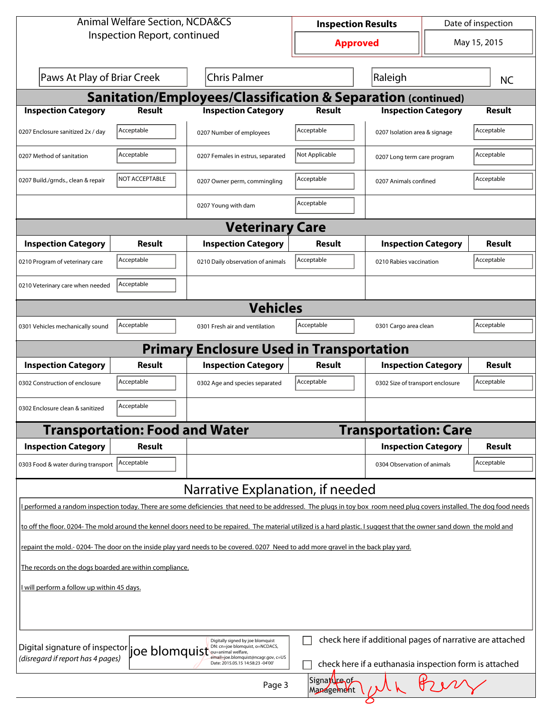| <b>Animal Welfare Section, NCDA&amp;CS</b>                                                                                                                                               |                                                            |                                                                                                                                                                      | <b>Inspection Results</b> |                                  | Date of inspection |               |  |  |
|------------------------------------------------------------------------------------------------------------------------------------------------------------------------------------------|------------------------------------------------------------|----------------------------------------------------------------------------------------------------------------------------------------------------------------------|---------------------------|----------------------------------|--------------------|---------------|--|--|
| Inspection Report, continued                                                                                                                                                             |                                                            |                                                                                                                                                                      | <b>Approved</b>           |                                  | May 15, 2015       |               |  |  |
| Paws At Play of Briar Creek<br><b>Chris Palmer</b>                                                                                                                                       |                                                            |                                                                                                                                                                      | Raleigh                   |                                  | <b>NC</b>          |               |  |  |
| <b>Sanitation/Employees/Classification &amp; Separation (continued)</b>                                                                                                                  |                                                            |                                                                                                                                                                      |                           |                                  |                    |               |  |  |
| <b>Inspection Category</b>                                                                                                                                                               | <b>Result</b>                                              | <b>Inspection Category</b>                                                                                                                                           | Result                    | <b>Inspection Category</b>       |                    | <b>Result</b> |  |  |
| 0207 Enclosure sanitized 2x / day                                                                                                                                                        | Acceptable                                                 | 0207 Number of employees                                                                                                                                             | Acceptable                | 0207 Isolation area & signage    |                    | Acceptable    |  |  |
| 0207 Method of sanitation                                                                                                                                                                | Acceptable                                                 | 0207 Females in estrus, separated                                                                                                                                    | Not Applicable            | 0207 Long term care program      |                    | Acceptable    |  |  |
| 0207 Build./grnds., clean & repair                                                                                                                                                       | NOT ACCEPTABLE                                             | 0207 Owner perm, commingling                                                                                                                                         | Acceptable                | 0207 Animals confined            |                    | Acceptable    |  |  |
|                                                                                                                                                                                          |                                                            | 0207 Young with dam                                                                                                                                                  | Acceptable                |                                  |                    |               |  |  |
|                                                                                                                                                                                          |                                                            | <b>Veterinary Care</b>                                                                                                                                               |                           |                                  |                    |               |  |  |
| <b>Inspection Category</b>                                                                                                                                                               | Result                                                     | <b>Inspection Category</b>                                                                                                                                           | Result                    | <b>Inspection Category</b>       |                    | <b>Result</b> |  |  |
| 0210 Program of veterinary care                                                                                                                                                          | Acceptable                                                 | 0210 Daily observation of animals                                                                                                                                    | Acceptable                | 0210 Rabies vaccination          |                    | Acceptable    |  |  |
| 0210 Veterinary care when needed                                                                                                                                                         | Acceptable                                                 |                                                                                                                                                                      |                           |                                  |                    |               |  |  |
| <b>Vehicles</b>                                                                                                                                                                          |                                                            |                                                                                                                                                                      |                           |                                  |                    |               |  |  |
| 0301 Vehicles mechanically sound                                                                                                                                                         | Acceptable<br>Acceptable<br>0301 Fresh air and ventilation |                                                                                                                                                                      | 0301 Cargo area clean     |                                  | Acceptable         |               |  |  |
|                                                                                                                                                                                          |                                                            | <b>Primary Enclosure Used in Transportation</b>                                                                                                                      |                           |                                  |                    |               |  |  |
| <b>Inspection Category</b>                                                                                                                                                               | Result                                                     | <b>Inspection Category</b>                                                                                                                                           | Result                    | <b>Inspection Category</b>       |                    | Result        |  |  |
| 0302 Construction of enclosure                                                                                                                                                           | Acceptable                                                 | 0302 Age and species separated                                                                                                                                       | Acceptable                | 0302 Size of transport enclosure |                    | Acceptable    |  |  |
| 0302 Enclosure clean & sanitized                                                                                                                                                         | Acceptable                                                 |                                                                                                                                                                      |                           |                                  |                    |               |  |  |
|                                                                                                                                                                                          | <b>Transportation: Food and Water</b>                      |                                                                                                                                                                      |                           | <b>Transportation: Care</b>      |                    |               |  |  |
| <b>Inspection Category</b>                                                                                                                                                               | Result                                                     |                                                                                                                                                                      |                           | <b>Inspection Category</b>       |                    | <b>Result</b> |  |  |
| 0303 Food & water during transport                                                                                                                                                       | Acceptable                                                 |                                                                                                                                                                      |                           | 0304 Observation of animals      |                    | Acceptable    |  |  |
|                                                                                                                                                                                          |                                                            | Narrative Explanation, if needed                                                                                                                                     |                           |                                  |                    |               |  |  |
|                                                                                                                                                                                          |                                                            | performed a random inspection today. There are some deficiencies that need to be addressed. The plugs in toy box room need plug covers installed. The dog food needs |                           |                                  |                    |               |  |  |
| to off the floor. 0204- The mold around the kennel doors need to be repaired. The material utilized is a hard plastic. I suggest that the owner sand down the mold and                   |                                                            |                                                                                                                                                                      |                           |                                  |                    |               |  |  |
| repaint the mold.-0204-The door on the inside play yard needs to be covered. 0207 Need to add more gravel in the back play yard.                                                         |                                                            |                                                                                                                                                                      |                           |                                  |                    |               |  |  |
| The records on the dogs boarded are within compliance.                                                                                                                                   |                                                            |                                                                                                                                                                      |                           |                                  |                    |               |  |  |
| I will perform a follow up within 45 days.                                                                                                                                               |                                                            |                                                                                                                                                                      |                           |                                  |                    |               |  |  |
|                                                                                                                                                                                          |                                                            |                                                                                                                                                                      |                           |                                  |                    |               |  |  |
| check here if additional pages of narrative are attached<br>Digitally signed by joe blomquist<br>Digital signature of inspector<br>DN: cn=joe blomquist, o=NCDACS,                       |                                                            |                                                                                                                                                                      |                           |                                  |                    |               |  |  |
| joe blomquist<br>(disregard if report has 4 pages)<br>email=joe.blomquist@ncagr.gov, c=US<br>check here if a euthanasia inspection form is attached<br>Date: 2015.05.15 14:58:23 -04'00' |                                                            |                                                                                                                                                                      |                           |                                  |                    |               |  |  |
| Signature of<br>Page 3<br>Management                                                                                                                                                     |                                                            |                                                                                                                                                                      |                           |                                  |                    |               |  |  |
|                                                                                                                                                                                          |                                                            |                                                                                                                                                                      |                           |                                  |                    |               |  |  |